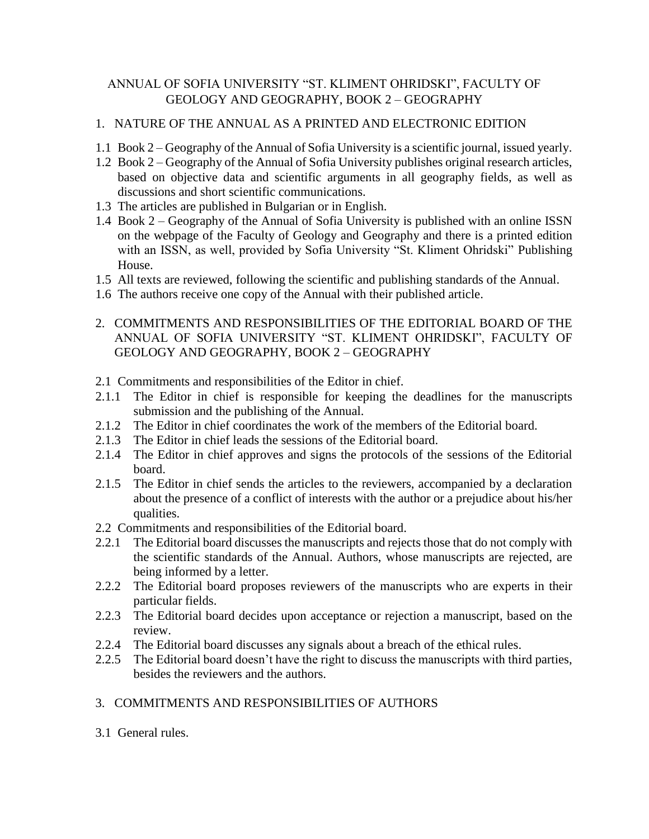# [ANNUAL OF SOFIA UNIVERSITY "ST. KLIMENT OHRIDSKI", FACULTY OF](https://www.uni-sofia.bg/index.php/eng)  GEOLOGY [AND GEOGRAPHY, BOOK 2 –](https://www.uni-sofia.bg/index.php/eng) GEOGRAPHY

- 1. NATURE OF THE ANNUAL AS A PRINTED AND ELECTRONIC EDITION
- 1.1 Book 2 Geography of the Annual of Sofia University is a scientific journal, issued yearly.
- 1.2 Book 2 Geography of the Annual of Sofia University publishes original research articles, based on objective data and scientific arguments in all geography fields, as well as discussions and short scientific communications.
- 1.3 The articles are published in Bulgarian or in English.
- 1.4 Book 2 Geography of the Annual of Sofia University is published with an online ISSN on the webpage of the Faculty of Geology and Geography and there is a printed edition with an ISSN, as well, provided by Sofia University "St. Kliment Ohridski" Publishing House.
- 1.5 All texts are reviewed, following the scientific and publishing standards of the Annual.
- 1.6 The authors receive one copy of the Annual with their published article.
- 2. COMMITMENTS AND RESPONSIBILITIES OF THE EDITORIAL BOARD OF THE ANNUAL OF SOFIA UNIVERSITY "ST. KLIMENT OHRIDSKI", FACULTY OF GEOLOGY AND GEOGRAPHY, BOOK 2 – GEOGRAPHY
- 2.1 Commitments and responsibilities of the Editor in chief.
- 2.1.1 The Editor in chief is responsible for keeping the deadlines for the manuscripts submission and the publishing of the Annual.
- 2.1.2 The Editor in chief coordinates the work of the members of the Editorial board.
- 2.1.3 The Editor in chief leads the sessions of the Editorial board.
- 2.1.4 The Editor in chief approves and signs the protocols of the sessions of the Editorial board.
- 2.1.5 The Editor in chief sends the articles to the reviewers, accompanied by a declaration about the presence of a conflict of interests with the author or a prejudice about his/her qualities.
- 2.2 Commitments and responsibilities of the Editorial board.
- 2.2.1 The Editorial board discusses the manuscripts and rejects those that do not comply with the scientific standards of the Annual. Authors, whose manuscripts are rejected, are being informed by a letter.
- 2.2.2 The Editorial board proposes reviewers of the manuscripts who are experts in their particular fields.
- 2.2.3 The Editorial board decides upon acceptance or rejection a manuscript, based on the review.
- 2.2.4 The Editorial board discusses any signals about a breach of the ethical rules.
- 2.2.5 The Editorial board doesn't have the right to discuss the manuscripts with third parties, besides the reviewers and the authors.

# 3. COMMITMENTS AND RESPONSIBILITIES OF AUTHORS

3.1 General rules.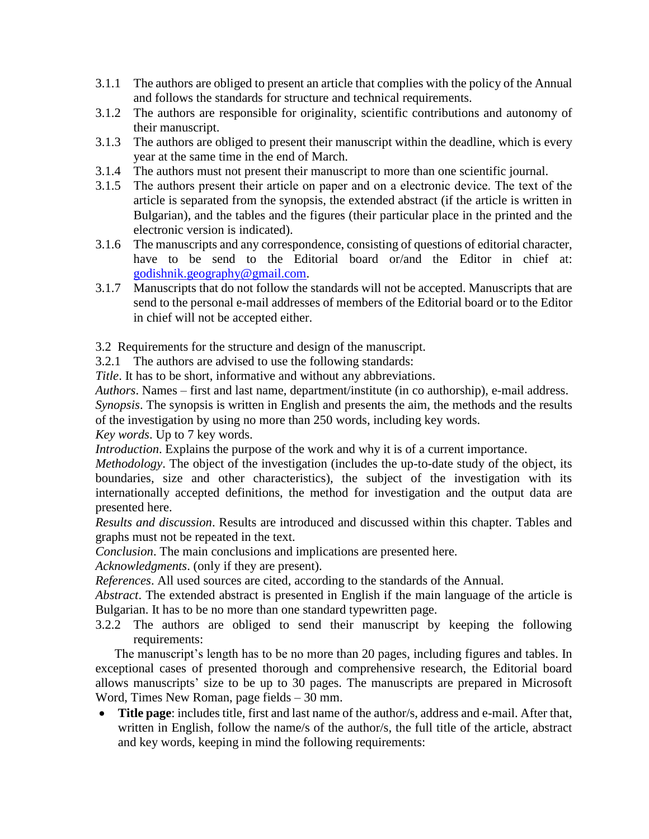- 3.1.1 The authors are obliged to present an article that complies with the policy of the Annual and follows the standards for structure and technical requirements.
- 3.1.2 The authors are responsible for originality, scientific contributions and autonomy of their manuscript.
- 3.1.3 The authors are obliged to present their manuscript within the deadline, which is every year at the same time in the end of March.
- 3.1.4 The authors must not present their manuscript to more than one scientific journal.
- 3.1.5 The authors present their article on paper and on а electronic device. The text of the article is separated from the synopsis, the extended abstract (if the article is written in Bulgarian), and the tables and the figures (their particular place in the printed and the electronic version is indicated).
- 3.1.6 The manuscripts and any correspondence, consisting of questions of editorial character, have to be send to the Editorial board or/and the Editor in chief at: [godishnik.geography@gmail.com.](mailto:godishnik.geography@gmail.com)
- 3.1.7 Manuscripts that do not follow the standards will not be accepted. Manuscripts that are send to the personal e-mail addresses of members of the Editorial board or to the Editor in chief will not be accepted either.
- 3.2 Requirements for the structure and design of the manuscript.
- 3.2.1 The authors are advised to use the following standards:

*Title*. It has to be short, informative and without any abbreviations.

*Authors*. Names – first and last name, department/institute (in co authorship), e-mail address.

*Synopsis*. The synopsis is written in English and presents the aim, the methods and the results of the investigation by using no more than 250 words, including key words.

*Key words*. Up to 7 key words.

*Introduction*. Explains the purpose of the work and why it is of a current importance.

*Methodology*. The object of the investigation (includes the up-to-date study of the object, its boundaries, size and other characteristics), the subject of the investigation with its internationally accepted definitions, the method for investigation and the output data are presented here.

*Results and discussion*. Results are introduced and discussed within this chapter. Tables and graphs must not be repeated in the text.

*Conclusion*. The main conclusions and implications are presented here.

*Acknowledgments*. (only if they are present).

*References*. All used sources are cited, according to the standards of the Annual.

*Abstract*. The extended abstract is presented in English if the main language of the article is Bulgarian. It has to be no more than one standard typewritten page.

3.2.2 The authors are obliged to send their manuscript by keeping the following requirements:

The manuscript's length has to be no more than 20 pages, including figures and tables. In exceptional cases of presented thorough and comprehensive research, the Editorial board allows manuscripts' size to be up to 30 pages. The manuscripts are prepared in Microsoft Word, Times New Roman, page fields – 30 mm.

 **Title page**: includes title, first and last name of the author/s, address and e-mail. After that, written in English, follow the name/s of the author/s, the full title of the article, abstract and key words, keeping in mind the following requirements: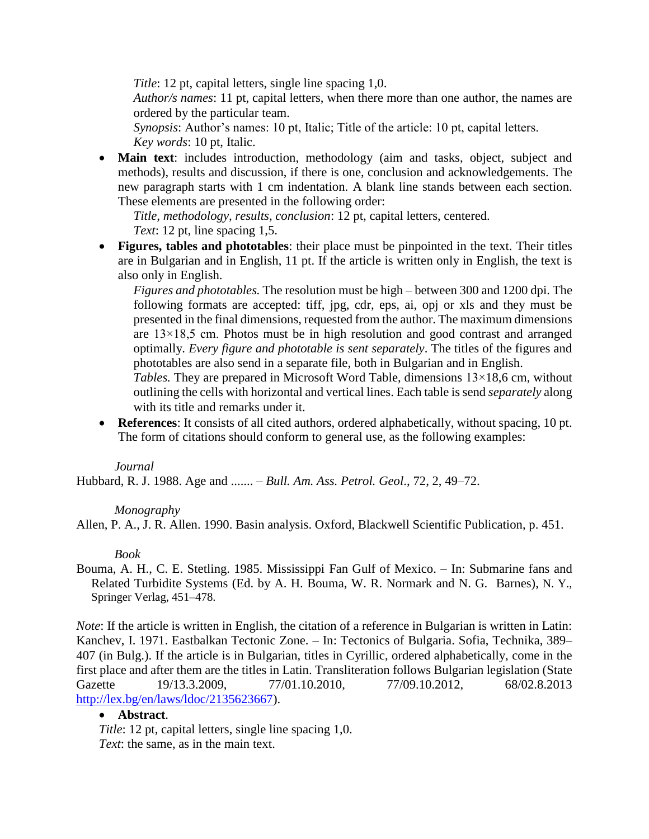*Title*: 12 pt, capital letters, single line spacing 1,0.

*Author/s names*: 11 pt, capital letters, when there more than one author, the names are ordered by the particular team.

*Synopsis*: Author's names: 10 pt, Italic; Title of the article: 10 pt, capital letters. *Key words*: 10 pt, Italic.

 **Main text**: includes introduction, methodology (aim and tasks, object, subject and methods), results and discussion, if there is one, conclusion and acknowledgements. The new paragraph starts with 1 cm indentation. A blank line stands between each section. These elements are presented in the following order:

*Title, methodology, results, conclusion*: 12 pt, capital letters, centered. *Text*: 12 pt, line spacing 1,5.

 **Figures, tables and phototables**: their place must be pinpointed in the text. Their titles are in Bulgarian and in English, 11 pt. If the article is written only in English, the text is also only in English.

*Figures and phototables.* The resolution must be high – between 300 and 1200 dpi. The following formats are accepted: tiff, jpg, cdr, eps, ai, opj or xls and they must be presented in the final dimensions, requested from the author. The maximum dimensions are  $13\times18,5$  cm. Photos must be in high resolution and good contrast and arranged optimally. *Every figure and phototable is sent separately*. The titles of the figures and phototables are also send in a separate file, both in Bulgarian and in English.

*Tables.* They are prepared in Microsoft Word Table, dimensions 13×18,6 cm, without outlining the cells with horizontal and vertical lines. Each table is send *separately* along with its title and remarks under it.

 **References**: It consists of all cited authors, ordered alphabetically, without spacing, 10 pt. The form of citations should conform to general use, as the following examples:

### *Journal*

Hubbard, R. J. 1988. Age and ....... – *Bull. Am. Ass. Petrol. Geol*., 72, 2, 49–72.

### *Monography*

Allen, P. A., J. R. Allen. 1990. Basin analysis. Oxford, Blackwell Scientific Publication, p. 451.

### *Book*

Bouma, A. H., C. E. Stetling. 1985. Mississippi Fan Gulf of Mexico. – In: Submarine fans and Related Turbidite Systems (Ed. by A. H. Bouma, W. R. Normark and N. G. Barnes), N. Y., Springer Verlag, 451–478.

*Note*: If the article is written in English, the citation of a reference in Bulgarian is written in Latin: Kanchev, I. 1971. Eastbalkan Tectonic Zone. – In: Tectonics of Bulgaria. Sofia, Technika, 389– 407 (in Bulg.). If the article is in Bulgarian, titles in Cyrillic, ordered alphabetically, come in the first place and after them are the titles in Latin. Transliteration follows Bulgarian legislation (State Gazette 19/13.3.2009, 77/01.10.2010, 77/09.10.2012, 68/02.8.2013 [http://lex.bg/en/laws/ldoc/2135623667\)](http://lex.bg/en/laws/ldoc/2135623667).

# **Abstract**.

*Title*: 12 pt, capital letters, single line spacing 1,0. *Text*: the same, as in the main text.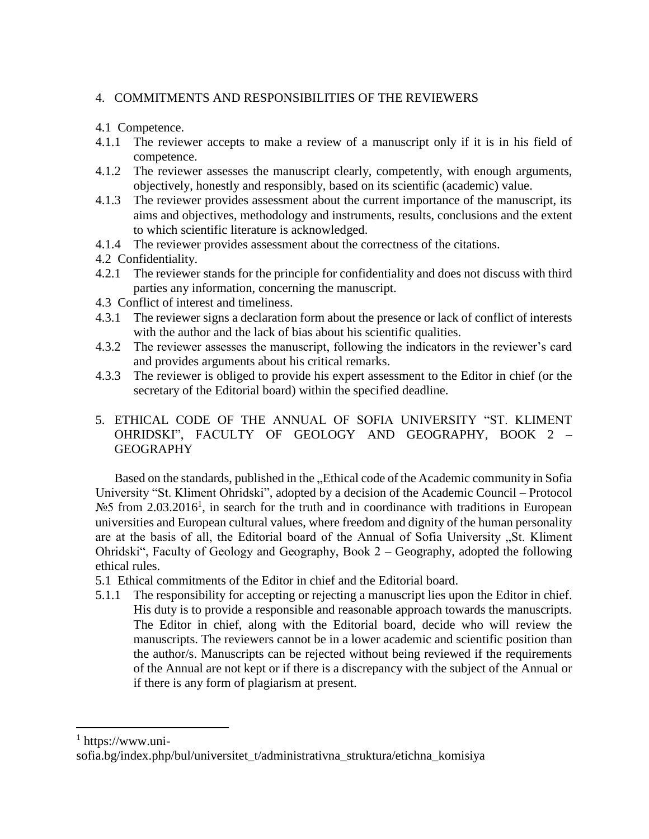# 4. COMMITMENTS AND RESPONSIBILITIES OF THE REVIEWERS

4.1 Competence.

- 4.1.1 The reviewer accepts to make a review of a manuscript only if it is in his field of competence.
- 4.1.2 The reviewer assesses the manuscript clearly, competently, with enough arguments, objectively, honestly and responsibly, based on its scientific (academic) value.
- 4.1.3 The reviewer provides assessment about the current importance of the manuscript, its aims and objectives, methodology and instruments, results, conclusions and the extent to which scientific literature is acknowledged.
- 4.1.4 The reviewer provides assessment about the correctness of the citations.
- 4.2 Confidentiality.
- 4.2.1 The reviewer stands for the principle for confidentiality and does not discuss with third parties any information, concerning the manuscript.
- 4.3 Conflict of interest and timeliness.
- 4.3.1 The reviewer signs a declaration form about the presence or lack of conflict of interests with the author and the lack of bias about his scientific qualities.
- 4.3.2 The reviewer assesses the manuscript, following the indicators in the reviewer's card and provides arguments about his critical remarks.
- 4.3.3 The reviewer is obliged to provide his expert assessment to the Editor in chief (or the secretary of the Editorial board) within the specified deadline.

# 5. ETHICAL CODE OF THE ANNUAL OF SOFIA UNIVERSITY "ST. KLIMENT OHRIDSKI", FACULTY OF GEOLOGY AND GEOGRAPHY, BOOK 2 – **GEOGRAPHY**

Based on the standards, published in the "Ethical code of the Academic community in Sofia University "St. Kliment Ohridski", adopted by a decision of the Academic Council – Protocol Ne5 from 2.03.2016<sup>1</sup>, in search for the truth and in coordinance with traditions in European universities and European cultural values, where freedom and dignity of the human personality are at the basis of all, the Editorial board of the Annual of Sofia University "St. Kliment Ohridski", Faculty of Geology and Geography, Book 2 – Geography, adopted the following ethical rules.

- 5.1 Ethical commitments of the Editor in chief and the Editorial board.
- 5.1.1 The responsibility for accepting or rejecting a manuscript lies upon the Editor in chief. His duty is to provide a responsible and reasonable approach towards the manuscripts. The Editor in chief, along with the Editorial board, decide who will review the manuscripts. The reviewers cannot be in a lower academic and scientific position than the author/s. Manuscripts can be rejected without being reviewed if the requirements of the Annual are not kept or if there is a discrepancy with the subject of the Annual or if there is any form of plagiarism at present.

 $\overline{\phantom{a}}$ 

<sup>&</sup>lt;sup>1</sup> https://www.uni-

sofia.bg/index.php/bul/universitet\_t/administrativna\_struktura/etichna\_komisiya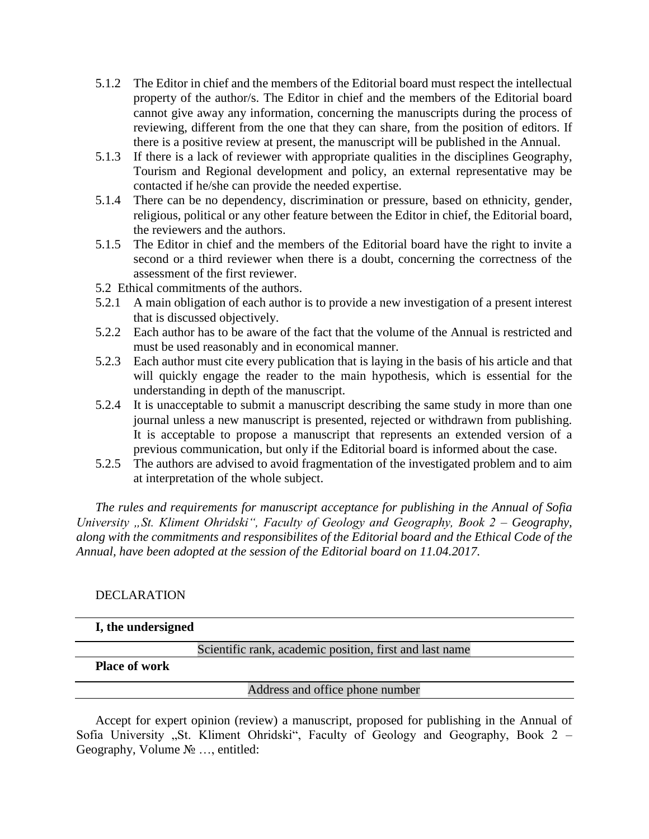- 5.1.2 The Editor in chief and the members of the Editorial board must respect the intellectual property of the author/s. The Editor in chief and the members of the Editorial board cannot give away any information, concerning the manuscripts during the process of reviewing, different from the one that they can share, from the position of editors. If there is a positive review at present, the manuscript will be published in the Annual.
- 5.1.3 If there is a lack of reviewer with appropriate qualities in the disciplines Geography, Tourism and Regional development and policy, an external representative may be contacted if he/she can provide the needed expertise.
- 5.1.4 There can be no dependency, discrimination or pressure, based on ethnicity, gender, religious, political or any other feature between the Editor in chief, the Editorial board, the reviewers and the authors.
- 5.1.5 The Editor in chief and the members of the Editorial board have the right to invite a second or a third reviewer when there is a doubt, concerning the correctness of the assessment of the first reviewer.
- 5.2 Ethical commitments of the authors.
- 5.2.1 A main obligation of each author is to provide a new investigation of a present interest that is discussed objectively.
- 5.2.2 Each author has to be aware of the fact that the volume of the Annual is restricted and must be used reasonably and in economical manner.
- 5.2.3 Each author must cite every publication that is laying in the basis of his article and that will quickly engage the reader to the main hypothesis, which is essential for the understanding in depth of the manuscript.
- 5.2.4 It is unacceptable to submit a manuscript describing the same study in more than one journal unless a new manuscript is presented, rejected or withdrawn from publishing. It is acceptable to propose a manuscript that represents an extended version of a previous communication, but only if the Editorial board is informed about the case.
- 5.2.5 The authors are advised to avoid fragmentation of the investigated problem and to aim at interpretation of the whole subject.

*The rules and requirements for manuscript acceptance for publishing in the Annual of Sofia University "St. Kliment Ohridski", Faculty of Geology and Geography, Book 2 – Geography, along with the commitments and responsibilites of the Editorial board and the Ethical Code of the Annual, have been adopted at the session of the Editorial board on 11.04.2017.*

# DECLARATION

| I, the undersigned   |                                                         |
|----------------------|---------------------------------------------------------|
|                      | Scientific rank, academic position, first and last name |
| <b>Place of work</b> |                                                         |
|                      | Address and office phone number                         |

Accept for expert opinion (review) a manuscript, proposed for publishing in the Annual of Sofia University "St. Kliment Ohridski", Faculty of Geology and Geography, Book 2 – Geography, Volume № …, entitled: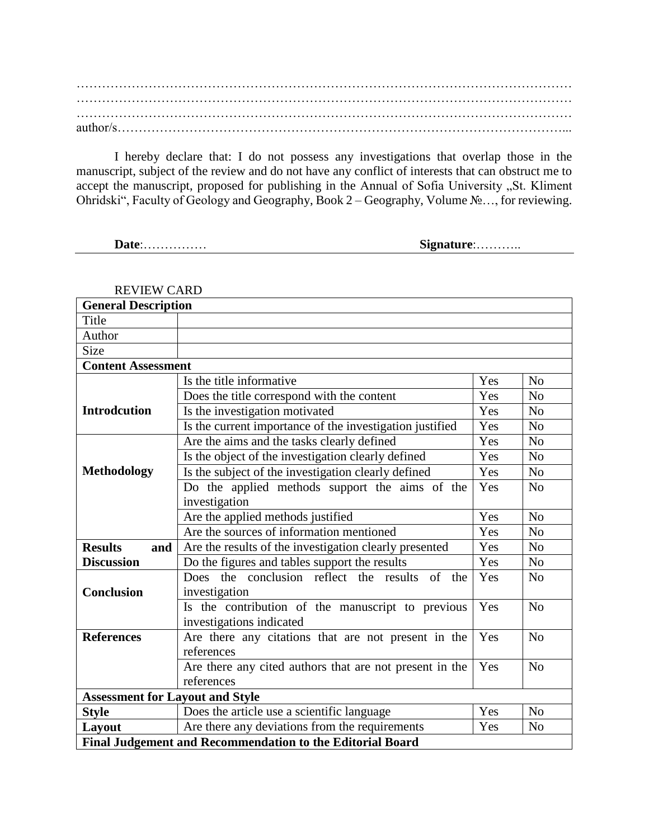I hereby declare that: I do not possess any investigations that overlap those in the manuscript, subject of the review and do not have any conflict of interests that can obstruct me to accept the manuscript, proposed for publishing in the Annual of Sofia University "St. Kliment Ohridski", Faculty of Geology and Geography, Book 2 – Geography, Volume №…, for reviewing.

**Date**:…………… **Signature**:………..

| <b>General Description</b>             |                                                           |     |                |  |  |
|----------------------------------------|-----------------------------------------------------------|-----|----------------|--|--|
| Title                                  |                                                           |     |                |  |  |
| Author                                 |                                                           |     |                |  |  |
| Size                                   |                                                           |     |                |  |  |
| <b>Content Assessment</b>              |                                                           |     |                |  |  |
|                                        | Is the title informative                                  | Yes | N <sub>o</sub> |  |  |
|                                        | Does the title correspond with the content                | Yes | N <sub>o</sub> |  |  |
| <b>Introdcution</b>                    | Is the investigation motivated                            | Yes | N <sub>o</sub> |  |  |
|                                        | Is the current importance of the investigation justified  | Yes | N <sub>o</sub> |  |  |
|                                        | Are the aims and the tasks clearly defined                | Yes | N <sub>o</sub> |  |  |
|                                        | Is the object of the investigation clearly defined        |     | N <sub>o</sub> |  |  |
| <b>Methodology</b>                     | Is the subject of the investigation clearly defined       | Yes | N <sub>o</sub> |  |  |
|                                        | Do the applied methods support the aims of the            | Yes | N <sub>o</sub> |  |  |
|                                        |                                                           |     |                |  |  |
| Are the applied methods justified      |                                                           |     | N <sub>o</sub> |  |  |
|                                        | Are the sources of information mentioned                  |     |                |  |  |
| <b>Results</b><br>and                  | Are the results of the investigation clearly presented    |     |                |  |  |
| <b>Discussion</b>                      | Do the figures and tables support the results             | Yes | N <sub>o</sub> |  |  |
|                                        | Does the conclusion reflect the results of the            | Yes | N <sub>o</sub> |  |  |
| <b>Conclusion</b>                      | investigation                                             |     |                |  |  |
|                                        | Is the contribution of the manuscript to previous         | Yes | N <sub>0</sub> |  |  |
|                                        | investigations indicated                                  |     |                |  |  |
| <b>References</b>                      | Are there any citations that are not present in the       | Yes | N <sub>o</sub> |  |  |
|                                        | references                                                |     |                |  |  |
|                                        | Are there any cited authors that are not present in the   | Yes | N <sub>0</sub> |  |  |
|                                        | references                                                |     |                |  |  |
| <b>Assessment for Layout and Style</b> |                                                           |     |                |  |  |
| <b>Style</b>                           | Does the article use a scientific language                | Yes | N <sub>o</sub> |  |  |
| Layout                                 | Are there any deviations from the requirements            | Yes | N <sub>o</sub> |  |  |
|                                        | Final Judgement and Recommendation to the Editorial Board |     |                |  |  |

REVIEW CARD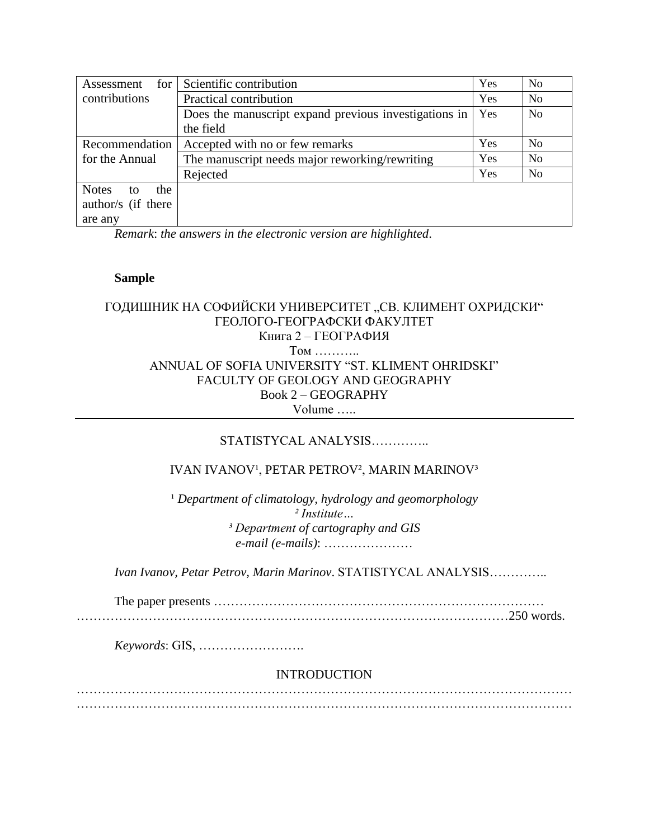| for<br>Assessment         | Scientific contribution                                      |     |                |  |
|---------------------------|--------------------------------------------------------------|-----|----------------|--|
| contributions             | Practical contribution                                       |     |                |  |
|                           | Does the manuscript expand previous investigations in<br>Yes |     |                |  |
|                           | the field                                                    |     |                |  |
| Recommendation            | Accepted with no or few remarks                              |     | N <sub>0</sub> |  |
| for the Annual            | The manuscript needs major reworking/rewriting               |     | N <sub>o</sub> |  |
|                           | Rejected                                                     | Yes | N <sub>o</sub> |  |
| <b>Notes</b><br>the<br>to |                                                              |     |                |  |
| author/s (if there        |                                                              |     |                |  |
| are any                   |                                                              |     |                |  |

*Remark*: *the answers in the electronic version are highlighted*.

#### **Sample**

# ГОДИШНИК НА СОФИЙСКИ УНИВЕРСИТЕТ "СВ. КЛИМЕНТ ОХРИДСКИ" ГЕОЛОГО-ГЕОГРАФСКИ ФАКУЛТЕТ Книга 2 – ГЕОГРАФИЯ Том ……….. ANNUAL OF SOFIA UNIVERSITY "ST. KLIMENT OHRIDSKI" FACULTY OF GEOLOGY AND GEOGRAPHY Book 2 – GEOGRAPHY Volume …..

# STATISTYCAL ANALYSIS…………..

### IVAN IVANOV<sup>1</sup>, PETAR PETROV<sup>2</sup>, MARIN MARINOV<sup>3</sup>

<sup>1</sup> Department of climatology, hydrology and geomorphology *² Institute… ³ Department of cartography and GIS e-mail (e-mails)*: …………………

*Ivan Ivanov, Petar Petrov, Marin Marinov*. STATISTYCAL ANALYSIS…………..

The paper presents …………………………………………………………………… …………………………………………………………………………………………250 words.

*Keywords*: GIS, …………………….

### INTRODUCTION

……………………………………………………………………………………………………… ………………………………………………………………………………………………………